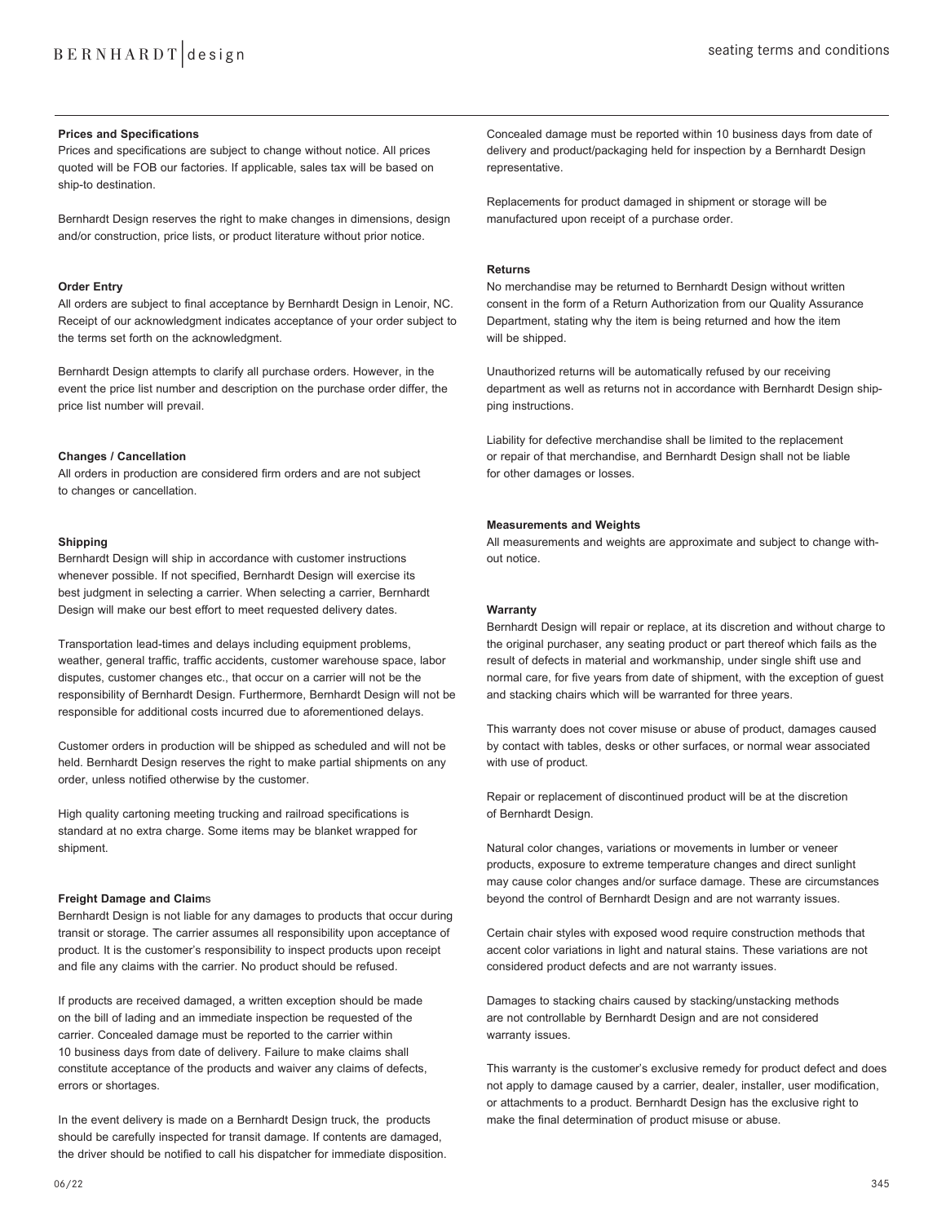# **Prices and Specifications**

Prices and specifications are subject to change without notice. All prices quoted will be FOB our factories. If applicable, sales tax will be based on ship-to destination.

Bernhardt Design reserves the right to make changes in dimensions, design and/or construction, price lists, or product literature without prior notice.

# **Order Entry**

All orders are subject to final acceptance by Bernhardt Design in Lenoir, NC. Receipt of our acknowledgment indicates acceptance of your order subject to the terms set forth on the acknowledgment.

Bernhardt Design attempts to clarify all purchase orders. However, in the event the price list number and description on the purchase order differ, the price list number will prevail.

#### **Changes / Cancellation**

All orders in production are considered firm orders and are not subject to changes or cancellation.

### **Shipping**

Bernhardt Design will ship in accordance with customer instructions whenever possible. If not specified, Bernhardt Design will exercise its best judgment in selecting a carrier. When selecting a carrier, Bernhardt Design will make our best effort to meet requested delivery dates.

Transportation lead-times and delays including equipment problems, weather, general traffic, traffic accidents, customer warehouse space, labor disputes, customer changes etc., that occur on a carrier will not be the responsibility of Bernhardt Design. Furthermore, Bernhardt Design will not be responsible for additional costs incurred due to aforementioned delays.

Customer orders in production will be shipped as scheduled and will not be held. Bernhardt Design reserves the right to make partial shipments on any order, unless notified otherwise by the customer.

High quality cartoning meeting trucking and railroad specifications is standard at no extra charge. Some items may be blanket wrapped for shipment.

#### **Freight Damage and Claim**s

Bernhardt Design is not liable for any damages to products that occur during transit or storage. The carrier assumes all responsibility upon acceptance of product. It is the customer's responsibility to inspect products upon receipt and file any claims with the carrier. No product should be refused.

If products are received damaged, a written exception should be made on the bill of lading and an immediate inspection be requested of the carrier. Concealed damage must be reported to the carrier within 10 business days from date of delivery. Failure to make claims shall constitute acceptance of the products and waiver any claims of defects, errors or shortages.

In the event delivery is made on a Bernhardt Design truck, the products should be carefully inspected for transit damage. If contents are damaged, the driver should be notified to call his dispatcher for immediate disposition. Concealed damage must be reported within 10 business days from date of delivery and product/packaging held for inspection by a Bernhardt Design representative.

Replacements for product damaged in shipment or storage will be manufactured upon receipt of a purchase order.

# **Returns**

No merchandise may be returned to Bernhardt Design without written consent in the form of a Return Authorization from our Quality Assurance Department, stating why the item is being returned and how the item will be shipped.

Unauthorized returns will be automatically refused by our receiving department as well as returns not in accordance with Bernhardt Design shipping instructions.

Liability for defective merchandise shall be limited to the replacement or repair of that merchandise, and Bernhardt Design shall not be liable for other damages or losses.

# **Measurements and Weights**

All measurements and weights are approximate and subject to change without notice.

# **Warranty**

Bernhardt Design will repair or replace, at its discretion and without charge to the original purchaser, any seating product or part thereof which fails as the result of defects in material and workmanship, under single shift use and normal care, for five years from date of shipment, with the exception of guest and stacking chairs which will be warranted for three years.

This warranty does not cover misuse or abuse of product, damages caused by contact with tables, desks or other surfaces, or normal wear associated with use of product.

Repair or replacement of discontinued product will be at the discretion of Bernhardt Design.

Natural color changes, variations or movements in lumber or veneer products, exposure to extreme temperature changes and direct sunlight may cause color changes and/or surface damage. These are circumstances beyond the control of Bernhardt Design and are not warranty issues.

Certain chair styles with exposed wood require construction methods that accent color variations in light and natural stains. These variations are not considered product defects and are not warranty issues.

Damages to stacking chairs caused by stacking/unstacking methods are not controllable by Bernhardt Design and are not considered warranty issues.

This warranty is the customer's exclusive remedy for product defect and does not apply to damage caused by a carrier, dealer, installer, user modification, or attachments to a product. Bernhardt Design has the exclusive right to make the final determination of product misuse or abuse.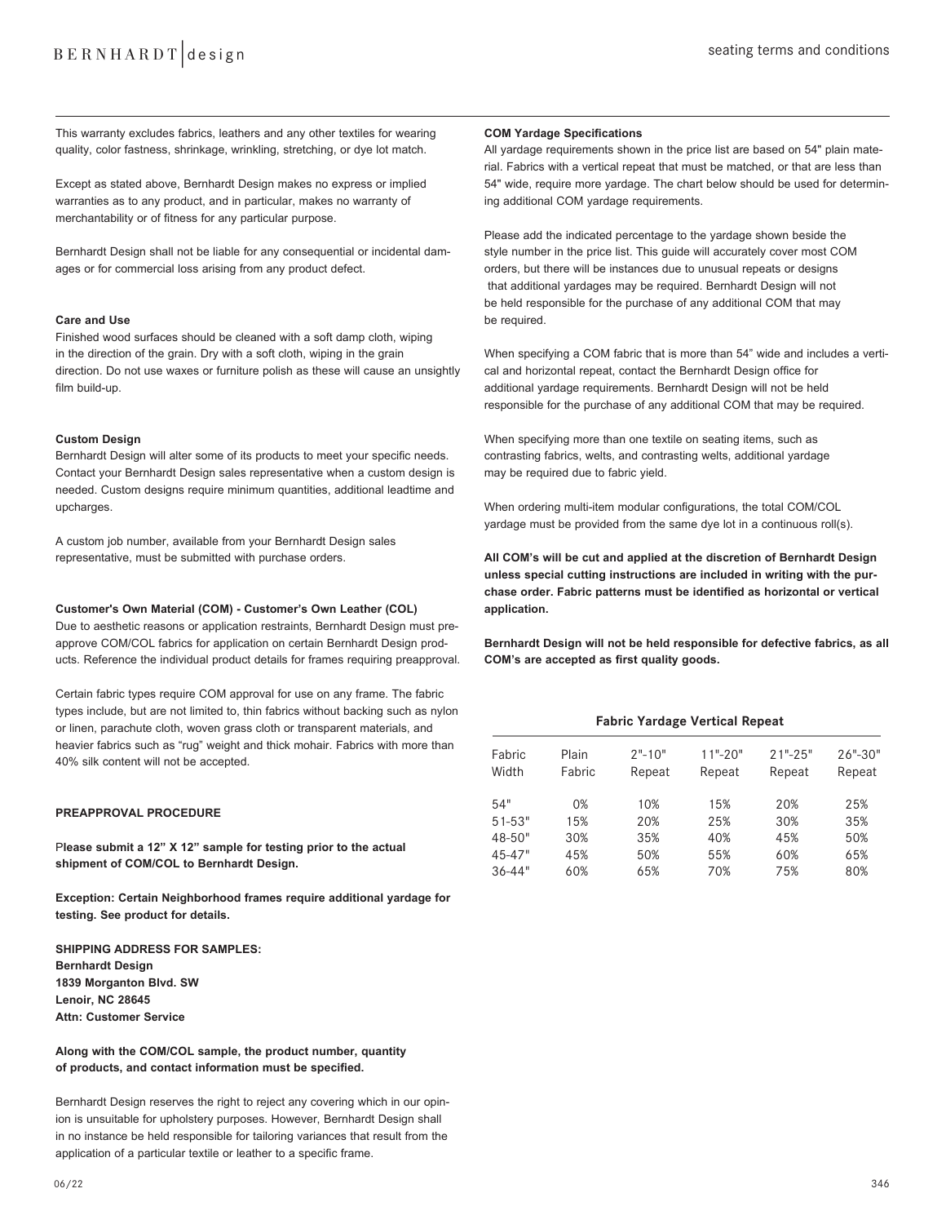This warranty excludes fabrics, leathers and any other textiles for wearing quality, color fastness, shrinkage, wrinkling, stretching, or dye lot match.

Except as stated above, Bernhardt Design makes no express or implied warranties as to any product, and in particular, makes no warranty of merchantability or of fitness for any particular purpose.

Bernhardt Design shall not be liable for any consequential or incidental damages or for commercial loss arising from any product defect.

### **Care and Use**

Finished wood surfaces should be cleaned with a soft damp cloth, wiping in the direction of the grain. Dry with a soft cloth, wiping in the grain direction. Do not use waxes or furniture polish as these will cause an unsightly film build-up.

#### **Custom Design**

Bernhardt Design will alter some of its products to meet your specific needs. Contact your Bernhardt Design sales representative when a custom design is needed. Custom designs require minimum quantities, additional leadtime and upcharges.

A custom job number, available from your Bernhardt Design sales representative, must be submitted with purchase orders.

#### **Customer's Own Material (COM) - Customer's Own Leather (COL)**

Due to aesthetic reasons or application restraints, Bernhardt Design must preapprove COM/COL fabrics for application on certain Bernhardt Design products. Reference the individual product details for frames requiring preapproval.

Certain fabric types require COM approval for use on any frame. The fabric types include, but are not limited to, thin fabrics without backing such as nylon or linen, parachute cloth, woven grass cloth or transparent materials, and heavier fabrics such as "rug" weight and thick mohair. Fabrics with more than 40% silk content will not be accepted.

#### **PREAPPROVAL PROCEDURE**

P**lease submit a 12" X 12" sample for testing prior to the actual shipment of COM/COL to Bernhardt Design.** 

**Exception: Certain Neighborhood frames require additional yardage for testing. See product for details.**

**SHIPPING ADDRESS FOR SAMPLES: Bernhardt Design 1839 Morganton Blvd. SW Lenoir, NC 28645 Attn: Customer Service**

# **Along with the COM/COL sample, the product number, quantity of products, and contact information must be specified.**

Bernhardt Design reserves the right to reject any covering which in our opinion is unsuitable for upholstery purposes. However, Bernhardt Design shall in no instance be held responsible for tailoring variances that result from the application of a particular textile or leather to a specific frame.

All yardage requirements shown in the price list are based on 54" plain material. Fabrics with a vertical repeat that must be matched, or that are less than 54" wide, require more yardage. The chart below should be used for determining additional COM yardage requirements.

Please add the indicated percentage to the yardage shown beside the style number in the price list. This guide will accurately cover most COM orders, but there will be instances due to unusual repeats or designs that additional yardages may be required. Bernhardt Design will not be held responsible for the purchase of any additional COM that may be required.

When specifying a COM fabric that is more than 54" wide and includes a vertical and horizontal repeat, contact the Bernhardt Design office for additional yardage requirements. Bernhardt Design will not be held responsible for the purchase of any additional COM that may be required.

When specifying more than one textile on seating items, such as contrasting fabrics, welts, and contrasting welts, additional yardage may be required due to fabric yield.

When ordering multi-item modular configurations, the total COM/COL yardage must be provided from the same dye lot in a continuous roll(s).

**All COM's will be cut and applied at the discretion of Bernhardt Design unless special cutting instructions are included in writing with the purchase order. Fabric patterns must be identified as horizontal or vertical application.** 

**Bernhardt Design will not be held responsible for defective fabrics, as all COM's are accepted as first quality goods.**

# **Fabric Yardage Vertical Repeat**

| Fabric<br>Width | Plain<br>Fabric | $2" - 10"$<br>Repeat | $11" - 20"$<br>Repeat | $21" - 25"$<br>Repeat | $26" - 30"$<br>Repeat |
|-----------------|-----------------|----------------------|-----------------------|-----------------------|-----------------------|
| 54"             | 0%              | 10%                  | 15%                   | 20%                   | 25%                   |
| $51 - 53"$      | 15%             | 20%                  | 25%                   | 30%                   | 35%                   |
| 48-50"          | 30%             | 35%                  | 40%                   | 45%                   | 50%                   |
| 45-47"          | 45%             | 50%                  | 55%                   | 60%                   | 65%                   |
| $36 - 44"$      | 60%             | 65%                  | 70%                   | 75%                   | 80%                   |
|                 |                 |                      |                       |                       |                       |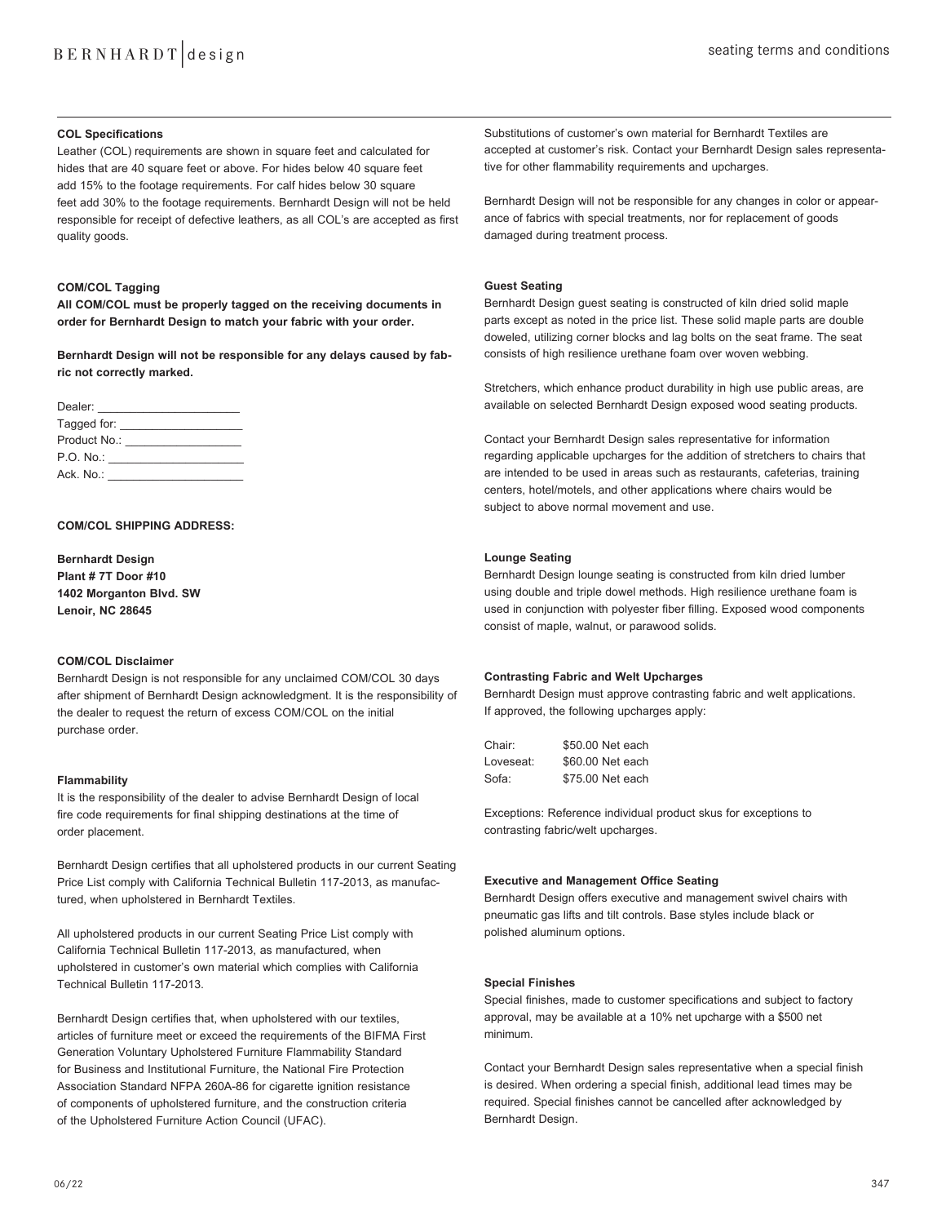### **COL Specifications**

Leather (COL) requirements are shown in square feet and calculated for hides that are 40 square feet or above. For hides below 40 square feet add 15% to the footage requirements. For calf hides below 30 square feet add 30% to the footage requirements. Bernhardt Design will not be held responsible for receipt of defective leathers, as all COL's are accepted as first quality goods.

# **COM/COL Tagging**

**All COM/COL must be properly tagged on the receiving documents in order for Bernhardt Design to match your fabric with your order.** 

**Bernhardt Design will not be responsible for any delays caused by fabric not correctly marked.** 

| Dealer: <b>Example</b>                                                                                                                                                                                                         |  |
|--------------------------------------------------------------------------------------------------------------------------------------------------------------------------------------------------------------------------------|--|
| Tagged for: The control of the control of the control of the control of the control of the control of the control of the control of the control of the control of the control of the control of the control of the control of  |  |
| Product No.: The contract of the contract of the contract of the contract of the contract of the contract of the contract of the contract of the contract of the contract of the contract of the contract of the contract of t |  |
| P.O. No.: <u>______</u>                                                                                                                                                                                                        |  |
| Ack. No.: Ack and the set of the set of the set of the set of the set of the set of the set of the set of the                                                                                                                  |  |

# **COM/COL SHIPPING ADDRESS:**

**Bernhardt Design Plant # 7T Door #10 1402 Morganton Blvd. SW Lenoir, NC 28645**

#### **COM/COL Disclaimer**

Bernhardt Design is not responsible for any unclaimed COM/COL 30 days after shipment of Bernhardt Design acknowledgment. It is the responsibility of the dealer to request the return of excess COM/COL on the initial purchase order.

### **Flammability**

It is the responsibility of the dealer to advise Bernhardt Design of local fire code requirements for final shipping destinations at the time of order placement.

Bernhardt Design certifies that all upholstered products in our current Seating Price List comply with California Technical Bulletin 117-2013, as manufactured, when upholstered in Bernhardt Textiles.

All upholstered products in our current Seating Price List comply with California Technical Bulletin 117-2013, as manufactured, when upholstered in customer's own material which complies with California Technical Bulletin 117-2013.

Bernhardt Design certifies that, when upholstered with our textiles, articles of furniture meet or exceed the requirements of the BIFMA First Generation Voluntary Upholstered Furniture Flammability Standard for Business and Institutional Furniture, the National Fire Protection Association Standard NFPA 260A-86 for cigarette ignition resistance of components of upholstered furniture, and the construction criteria of the Upholstered Furniture Action Council (UFAC).

Substitutions of customer's own material for Bernhardt Textiles are accepted at customer's risk. Contact your Bernhardt Design sales representative for other flammability requirements and upcharges.

Bernhardt Design will not be responsible for any changes in color or appearance of fabrics with special treatments, nor for replacement of goods damaged during treatment process.

# **Guest Seating**

Bernhardt Design guest seating is constructed of kiln dried solid maple parts except as noted in the price list. These solid maple parts are double doweled, utilizing corner blocks and lag bolts on the seat frame. The seat consists of high resilience urethane foam over woven webbing.

Stretchers, which enhance product durability in high use public areas, are available on selected Bernhardt Design exposed wood seating products.

Contact your Bernhardt Design sales representative for information regarding applicable upcharges for the addition of stretchers to chairs that are intended to be used in areas such as restaurants, cafeterias, training centers, hotel/motels, and other applications where chairs would be subject to above normal movement and use.

# **Lounge Seating**

Bernhardt Design lounge seating is constructed from kiln dried lumber using double and triple dowel methods. High resilience urethane foam is used in conjunction with polyester fiber filling. Exposed wood components consist of maple, walnut, or parawood solids.

#### **Contrasting Fabric and Welt Upcharges**

Bernhardt Design must approve contrasting fabric and welt applications. If approved, the following upcharges apply:

| Chair:    | \$50.00 Net each |
|-----------|------------------|
| Loveseat: | \$60.00 Net each |
| Sofa:     | \$75.00 Net each |

Exceptions: Reference individual product skus for exceptions to contrasting fabric/welt upcharges.

#### **Executive and Management Office Seating**

Bernhardt Design offers executive and management swivel chairs with pneumatic gas lifts and tilt controls. Base styles include black or polished aluminum options.

# **Special Finishes**

Special finishes, made to customer specifications and subject to factory approval, may be available at a 10% net upcharge with a \$500 net minimum.

Contact your Bernhardt Design sales representative when a special finish is desired. When ordering a special finish, additional lead times may be required. Special finishes cannot be cancelled after acknowledged by Bernhardt Design.